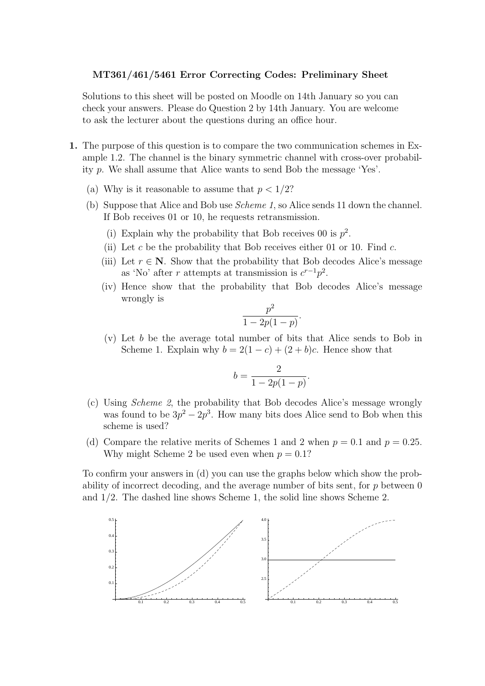### MT361/461/5461 Error Correcting Codes: Preliminary Sheet

Solutions to this sheet will be posted on Moodle on 14th January so you can check your answers. Please do Question 2 by 14th January. You are welcome to ask the lecturer about the questions during an office hour.

- 1. The purpose of this question is to compare the two communication schemes in Example 1.2. The channel is the binary symmetric channel with cross-over probability p. We shall assume that Alice wants to send Bob the message 'Yes'.
	- (a) Why is it reasonable to assume that  $p < 1/2$ ?
	- (b) Suppose that Alice and Bob use Scheme 1, so Alice sends 11 down the channel. If Bob receives 01 or 10, he requests retransmission.
		- (i) Explain why the probability that Bob receives 00 is  $p^2$ .
		- (ii) Let c be the probability that Bob receives either 01 or 10. Find  $c$ .
		- (iii) Let  $r \in \mathbb{N}$ . Show that the probability that Bob decodes Alice's message as 'No' after r attempts at transmission is  $c^{r-1}p^2$ .
		- (iv) Hence show that the probability that Bob decodes Alice's message wrongly is

$$
\frac{p^2}{1-2p(1-p)}.
$$

(v) Let b be the average total number of bits that Alice sends to Bob in Scheme 1. Explain why  $b = 2(1 - c) + (2 + b)c$ . Hence show that

$$
b = \frac{2}{1 - 2p(1 - p)}.
$$

- (c) Using Scheme 2, the probability that Bob decodes Alice's message wrongly was found to be  $3p^2 - 2p^3$ . How many bits does Alice send to Bob when this scheme is used?
- (d) Compare the relative merits of Schemes 1 and 2 when  $p = 0.1$  and  $p = 0.25$ . Why might Scheme 2 be used even when  $p = 0.1$ ?

To confirm your answers in (d) you can use the graphs below which show the probability of incorrect decoding, and the average number of bits sent, for  $p$  between  $0$ and 1/2. The dashed line shows Scheme 1, the solid line shows Scheme 2.

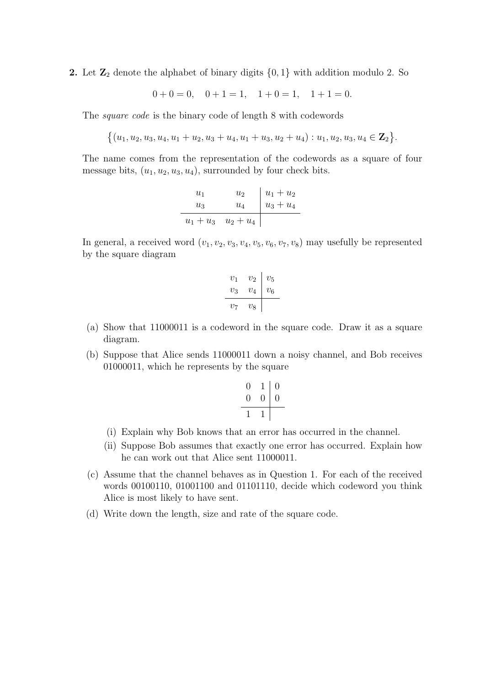2. Let  $\mathbb{Z}_2$  denote the alphabet of binary digits  $\{0,1\}$  with addition modulo 2. So

 $0 + 0 = 0$ ,  $0 + 1 = 1$ ,  $1 + 0 = 1$ ,  $1 + 1 = 0$ .

The square code is the binary code of length 8 with codewords

$$
\{(u_1,u_2,u_3,u_4,u_1+u_2,u_3+u_4,u_1+u_3,u_2+u_4):u_1,u_2,u_3,u_4\in \mathbf{Z}_2\}.
$$

The name comes from the representation of the codewords as a square of four message bits,  $(u_1, u_2, u_3, u_4)$ , surrounded by four check bits.

| $u_1$       | $u_{2}$     |                            |
|-------------|-------------|----------------------------|
| $u_3$       | $u_4$       | $u_1 + u_2$<br>$u_3 + u_4$ |
| $u_1 + u_3$ | $u_2 + u_4$ |                            |

In general, a received word  $(v_1, v_2, v_3, v_4, v_5, v_6, v_7, v_8)$  may usefully be represented by the square diagram

$$
\begin{array}{c|c c c c c c} v_1 & v_2 & v_5 \\ \hline v_3 & v_4 & v_6 \\ \hline v_7 & v_8 & & \end{array}
$$

- (a) Show that 11000011 is a codeword in the square code. Draw it as a square diagram.
- (b) Suppose that Alice sends 11000011 down a noisy channel, and Bob receives 01000011, which he represents by the square

$$
\begin{array}{c|c}\n0 & 1 & 0 \\
0 & 0 & 0 \\
\hline\n1 & 1\n\end{array}
$$

- (i) Explain why Bob knows that an error has occurred in the channel.
- (ii) Suppose Bob assumes that exactly one error has occurred. Explain how he can work out that Alice sent 11000011.
- (c) Assume that the channel behaves as in Question 1. For each of the received words 00100110, 01001100 and 01101110, decide which codeword you think Alice is most likely to have sent.
- (d) Write down the length, size and rate of the square code.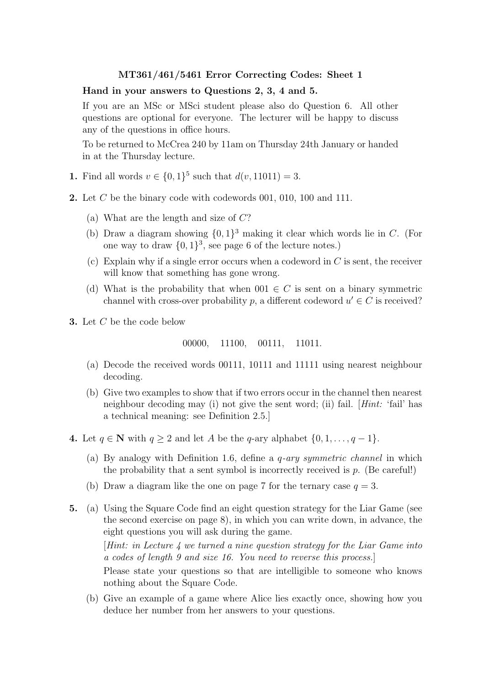### Hand in your answers to Questions 2, 3, 4 and 5.

If you are an MSc or MSci student please also do Question 6. All other questions are optional for everyone. The lecturer will be happy to discuss any of the questions in office hours.

To be returned to McCrea 240 by 11am on Thursday 24th January or handed in at the Thursday lecture.

- **1.** Find all words  $v \in \{0, 1\}^5$  such that  $d(v, 11011) = 3$ .
- 2. Let  $C$  be the binary code with codewords 001, 010, 100 and 111.
	- (a) What are the length and size of  $C$ ?
	- (b) Draw a diagram showing  $\{0, 1\}^3$  making it clear which words lie in C. (For one way to draw  $\{0,1\}^3$ , see page 6 of the lecture notes.)
	- (c) Explain why if a single error occurs when a codeword in  $C$  is sent, the receiver will know that something has gone wrong.
	- (d) What is the probability that when  $001 \in C$  is sent on a binary symmetric channel with cross-over probability  $p$ , a different codeword  $u' \in C$  is received?
- 3. Let C be the code below

$$
00000, \quad 11100, \quad 00111, \quad 11011.
$$

- (a) Decode the received words 00111, 10111 and 11111 using nearest neighbour decoding.
- (b) Give two examples to show that if two errors occur in the channel then nearest neighbour decoding may (i) not give the sent word; (ii) fail. [Hint: 'fail' has a technical meaning: see Definition 2.5.]
- 4. Let  $q \in \mathbb{N}$  with  $q \ge 2$  and let A be the q-ary alphabet  $\{0, 1, \ldots, q-1\}$ .
	- (a) By analogy with Definition 1.6, define a q-ary symmetric channel in which the probability that a sent symbol is incorrectly received is  $p$ . (Be careful!)
	- (b) Draw a diagram like the one on page 7 for the ternary case  $q = 3$ .
- 5. (a) Using the Square Code find an eight question strategy for the Liar Game (see the second exercise on page 8), in which you can write down, in advance, the eight questions you will ask during the game.  $[Hint: in Lecture 4 we turned a nine question strategy for the Liar Game into$ a codes of length 9 and size 16. You need to reverse this process.] Please state your questions so that are intelligible to someone who knows nothing about the Square Code.
	- (b) Give an example of a game where Alice lies exactly once, showing how you deduce her number from her answers to your questions.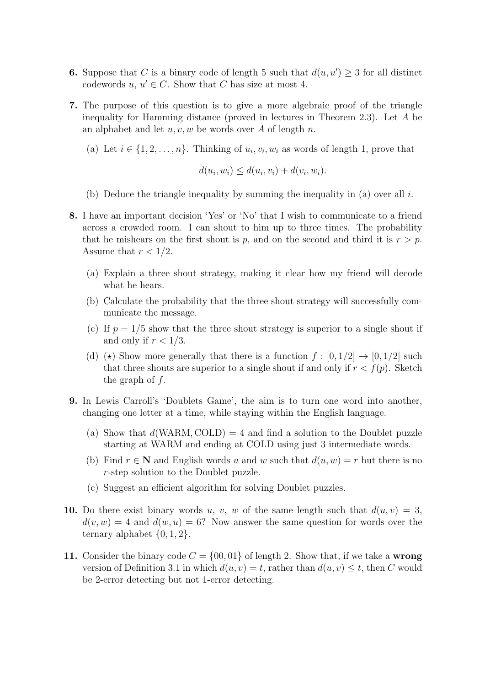- **6.** Suppose that C is a binary code of length 5 such that  $d(u, u') \geq 3$  for all distinct codewords  $u, u' \in C$ . Show that C has size at most 4.
- 7. The purpose of this question is to give a more algebraic proof of the triangle inequality for Hamming distance (proved in lectures in Theorem 2.3). Let A be an alphabet and let  $u, v, w$  be words over A of length n.
	- (a) Let  $i \in \{1, 2, \ldots, n\}$ . Thinking of  $u_i, v_i, w_i$  as words of length 1, prove that

$$
d(u_i, w_i) \leq d(u_i, v_i) + d(v_i, w_i).
$$

- (b) Deduce the triangle inequality by summing the inequality in (a) over all  $i$ .
- 8. I have an important decision 'Yes' or 'No' that I wish to communicate to a friend across a crowded room. I can shout to him up to three times. The probability that he mishears on the first shout is p, and on the second and third it is  $r > p$ . Assume that  $r < 1/2$ .
	- (a) Explain a three shout strategy, making it clear how my friend will decode what he hears.
	- (b) Calculate the probability that the three shout strategy will successfully communicate the message.
	- (c) If  $p = 1/5$  show that the three shout strategy is superior to a single shout if and only if  $r < 1/3$ .
	- (d) ( $\star$ ) Show more generally that there is a function  $f : [0, 1/2] \to [0, 1/2]$  such that three shouts are superior to a single shout if and only if  $r < f(p)$ . Sketch the graph of  $f$ .
- 9. In Lewis Carroll's 'Doublets Game', the aim is to turn one word into another, changing one letter at a time, while staying within the English language.
	- (a) Show that  $d(WARM, COLD) = 4$  and find a solution to the Doublet puzzle starting at WARM and ending at COLD using just 3 intermediate words.
	- (b) Find  $r \in \mathbb{N}$  and English words u and w such that  $d(u, w) = r$  but there is no r-step solution to the Doublet puzzle.
	- (c) Suggest an efficient algorithm for solving Doublet puzzles.
- 10. Do there exist binary words u, v, w of the same length such that  $d(u, v) = 3$ ,  $d(v, w) = 4$  and  $d(w, u) = 6$ ? Now answer the same question for words over the ternary alphabet  $\{0, 1, 2\}.$
- 11. Consider the binary code  $C = \{00, 01\}$  of length 2. Show that, if we take a wrong version of Definition 3.1 in which  $d(u, v) = t$ , rather than  $d(u, v) \leq t$ , then C would be 2-error detecting but not 1-error detecting.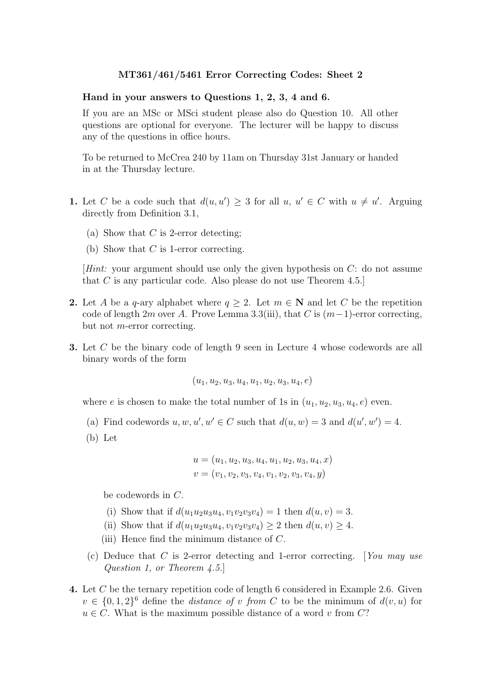#### Hand in your answers to Questions 1, 2, 3, 4 and 6.

If you are an MSc or MSci student please also do Question 10. All other questions are optional for everyone. The lecturer will be happy to discuss any of the questions in office hours.

To be returned to McCrea 240 by 11am on Thursday 31st January or handed in at the Thursday lecture.

- **1.** Let C be a code such that  $d(u, u') \geq 3$  for all  $u, u' \in C$  with  $u \neq u'$ . Arguing directly from Definition 3.1,
	- (a) Show that  $C$  is 2-error detecting;
	- (b) Show that  $C$  is 1-error correcting.

[Hint: your argument should use only the given hypothesis on C: do not assume that C is any particular code. Also please do not use Theorem 4.5.]

- 2. Let A be a q-ary alphabet where  $q \geq 2$ . Let  $m \in \mathbb{N}$  and let C be the repetition code of length 2m over A. Prove Lemma 3.3(iii), that C is  $(m-1)$ -error correcting, but not m-error correcting.
- 3. Let C be the binary code of length 9 seen in Lecture 4 whose codewords are all binary words of the form

$$
(u_1, u_2, u_3, u_4, u_1, u_2, u_3, u_4, e)
$$

where e is chosen to make the total number of 1s in  $(u_1, u_2, u_3, u_4, e)$  even.

- (a) Find codewords  $u, w, u', w' \in C$  such that  $d(u, w) = 3$  and  $d(u', w') = 4$ .
- (b) Let

$$
u = (u_1, u_2, u_3, u_4, u_1, u_2, u_3, u_4, x)
$$
  

$$
v = (v_1, v_2, v_3, v_4, v_1, v_2, v_3, v_4, y)
$$

be codewords in C.

- (i) Show that if  $d(u_1u_2u_3u_4, v_1v_2v_3v_4) = 1$  then  $d(u, v) = 3$ .
- (ii) Show that if  $d(u_1u_2u_3u_4, v_1v_2v_3v_4) \geq 2$  then  $d(u, v) \geq 4$ .
- (iii) Hence find the minimum distance of C.
- (c) Deduce that C is 2-error detecting and 1-error correcting. [You may use Question 1, or Theorem 4.5.]
- 4. Let C be the ternary repetition code of length 6 considered in Example 2.6. Given  $v \in \{0,1,2\}^6$  define the *distance of v from C* to be the minimum of  $d(v, u)$  for  $u \in C$ . What is the maximum possible distance of a word v from C?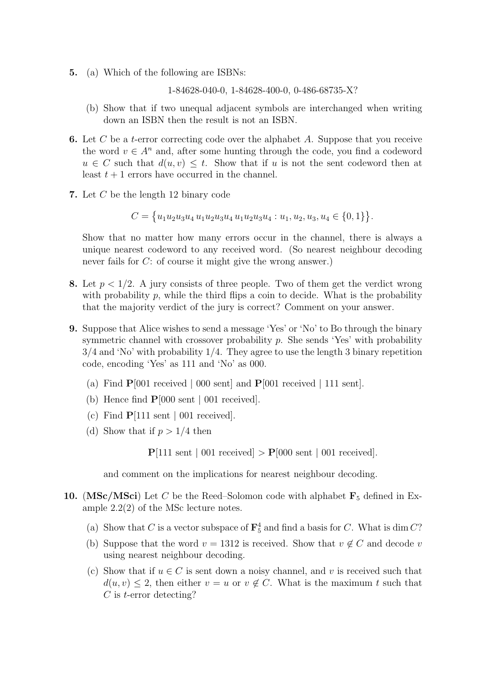5. (a) Which of the following are ISBNs:

1-84628-040-0, 1-84628-400-0, 0-486-68735-X?

- (b) Show that if two unequal adjacent symbols are interchanged when writing down an ISBN then the result is not an ISBN.
- 6. Let  $C$  be a t-error correcting code over the alphabet  $A$ . Suppose that you receive the word  $v \in A^n$  and, after some hunting through the code, you find a codeword  $u \in C$  such that  $d(u, v) \leq t$ . Show that if u is not the sent codeword then at least  $t + 1$  errors have occurred in the channel.
- 7. Let C be the length 12 binary code

$$
C = \{u_1u_2u_3u_4u_1u_2u_3u_4u_1u_2u_3u_4: u_1, u_2, u_3, u_4 \in \{0, 1\}\}.
$$

Show that no matter how many errors occur in the channel, there is always a unique nearest codeword to any received word. (So nearest neighbour decoding never fails for C: of course it might give the wrong answer.)

- 8. Let  $p < 1/2$ . A jury consists of three people. Two of them get the verdict wrong with probability  $p$ , while the third flips a coin to decide. What is the probability that the majority verdict of the jury is correct? Comment on your answer.
- 9. Suppose that Alice wishes to send a message 'Yes' or 'No' to Bo through the binary symmetric channel with crossover probability  $p$ . She sends 'Yes' with probability 3/4 and 'No' with probability 1/4. They agree to use the length 3 binary repetition code, encoding 'Yes' as 111 and 'No' as 000.
	- (a) Find  $P[001$  received | 000 sent] and  $P[001$  received | 111 sent].
	- (b) Hence find P[000 sent | 001 received].
	- (c) Find  $P[111 \text{ sent } | 001 \text{ received}]$ .
	- (d) Show that if  $p > 1/4$  then

 $P[111 \text{ sent } | 001 \text{ received}] > P[000 \text{ sent } | 001 \text{ received}]$ .

and comment on the implications for nearest neighbour decoding.

- 10. (MSc/MSci) Let C be the Reed–Solomon code with alphabet  $\mathbf{F}_5$  defined in Example 2.2(2) of the MSc lecture notes.
	- (a) Show that C is a vector subspace of  $\mathbf{F}_5^4$  and find a basis for C. What is dim C?
	- (b) Suppose that the word  $v = 1312$  is received. Show that  $v \notin C$  and decode v using nearest neighbour decoding.
	- (c) Show that if  $u \in C$  is sent down a noisy channel, and v is received such that  $d(u, v) \leq 2$ , then either  $v = u$  or  $v \notin C$ . What is the maximum t such that  $C$  is *t*-error detecting?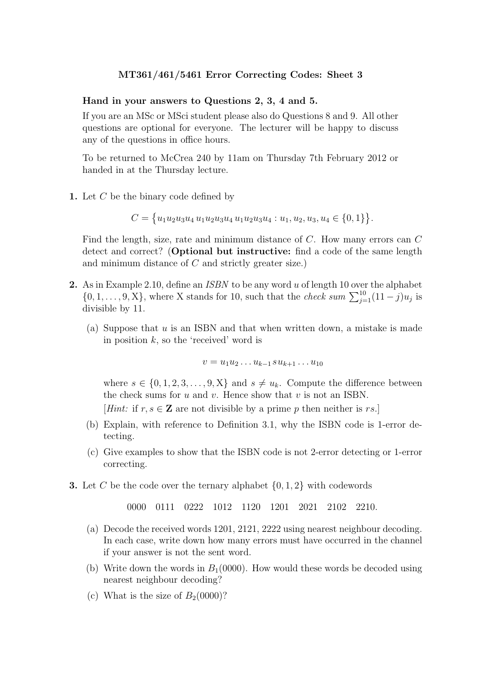#### Hand in your answers to Questions 2, 3, 4 and 5.

If you are an MSc or MSci student please also do Questions 8 and 9. All other questions are optional for everyone. The lecturer will be happy to discuss any of the questions in office hours.

To be returned to McCrea 240 by 11am on Thursday 7th February 2012 or handed in at the Thursday lecture.

1. Let  $C$  be the binary code defined by

$$
C = \{u_1u_2u_3u_4u_1u_2u_3u_4u_1u_2u_3u_4: u_1, u_2, u_3, u_4 \in \{0, 1\}\}.
$$

Find the length, size, rate and minimum distance of C. How many errors can C detect and correct? (Optional but instructive: find a code of the same length and minimum distance of C and strictly greater size.)

- 2. As in Example 2.10, define an *ISBN* to be any word u of length 10 over the alphabet  $\{0, 1, \ldots, 9, X\}$ , where X stands for 10, such that the *check sum*  $\sum_{j=1}^{10} (11 - j)u_j$  is divisible by 11.
	- (a) Suppose that  $u$  is an ISBN and that when written down, a mistake is made in position  $k$ , so the 'received' word is

$$
v=u_1u_2\ldots u_{k-1}su_{k+1}\ldots u_{10}
$$

where  $s \in \{0, 1, 2, 3, \ldots, 9, X\}$  and  $s \neq u_k$ . Compute the difference between the check sums for  $u$  and  $v$ . Hence show that  $v$  is not an ISBN.

[Hint: if  $r, s \in \mathbb{Z}$  are not divisible by a prime p then neither is rs.]

- (b) Explain, with reference to Definition 3.1, why the ISBN code is 1-error detecting.
- (c) Give examples to show that the ISBN code is not 2-error detecting or 1-error correcting.
- **3.** Let C be the code over the ternary alphabet  $\{0, 1, 2\}$  with codewords

0000 0111 0222 1012 1120 1201 2021 2102 2210.

- (a) Decode the received words 1201, 2121, 2222 using nearest neighbour decoding. In each case, write down how many errors must have occurred in the channel if your answer is not the sent word.
- (b) Write down the words in  $B_1(0000)$ . How would these words be decoded using nearest neighbour decoding?
- (c) What is the size of  $B<sub>2</sub>(0000)$ ?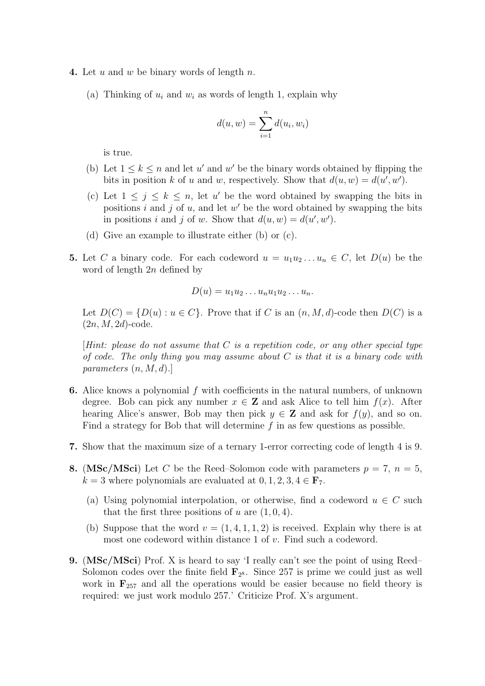- 4. Let u and w be binary words of length  $n$ .
	- (a) Thinking of  $u_i$  and  $w_i$  as words of length 1, explain why

$$
d(u, w) = \sum_{i=1}^{n} d(u_i, w_i)
$$

is true.

- (b) Let  $1 \leq k \leq n$  and let u' and w' be the binary words obtained by flipping the bits in position k of u and w, respectively. Show that  $d(u, w) = d(u', w')$ .
- (c) Let  $1 \leq j \leq k \leq n$ , let u' be the word obtained by swapping the bits in positions i and j of u, and let  $w'$  be the word obtained by swapping the bits in positions i and j of w. Show that  $d(u, w) = d(u', w')$ .
- (d) Give an example to illustrate either (b) or (c).
- 5. Let C a binary code. For each codeword  $u = u_1u_2...u_n \in C$ , let  $D(u)$  be the word of length 2n defined by

$$
D(u) = u_1 u_2 \dots u_n u_1 u_2 \dots u_n.
$$

Let  $D(C) = \{D(u) : u \in C\}$ . Prove that if C is an  $(n, M, d)$ -code then  $D(C)$  is a  $(2n, M, 2d)$ -code.

 $[Hint: please do not assume that C is a repetition code, or any other special type$ of code. The only thing you may assume about  $C$  is that it is a binary code with parameters  $(n, M, d)$ .

- 6. Alice knows a polynomial  $f$  with coefficients in the natural numbers, of unknown degree. Bob can pick any number  $x \in \mathbf{Z}$  and ask Alice to tell him  $f(x)$ . After hearing Alice's answer, Bob may then pick  $y \in \mathbf{Z}$  and ask for  $f(y)$ , and so on. Find a strategy for Bob that will determine  $f$  in as few questions as possible.
- 7. Show that the maximum size of a ternary 1-error correcting code of length 4 is 9.
- 8. (MSc/MSci) Let C be the Reed–Solomon code with parameters  $p = 7, n = 5$ ,  $k = 3$  where polynomials are evaluated at  $0, 1, 2, 3, 4 \in \mathbf{F}_7$ .
	- (a) Using polynomial interpolation, or otherwise, find a codeword  $u \in C$  such that the first three positions of u are  $(1, 0, 4)$ .
	- (b) Suppose that the word  $v = (1, 4, 1, 1, 2)$  is received. Explain why there is at most one codeword within distance 1 of v. Find such a codeword.
- 9. (MSc/MSci) Prof. X is heard to say 'I really can't see the point of using Reed– Solomon codes over the finite field  $\mathbf{F}_{2^8}$ . Since 257 is prime we could just as well work in  $\mathbf{F}_{257}$  and all the operations would be easier because no field theory is required: we just work modulo 257.' Criticize Prof. X's argument.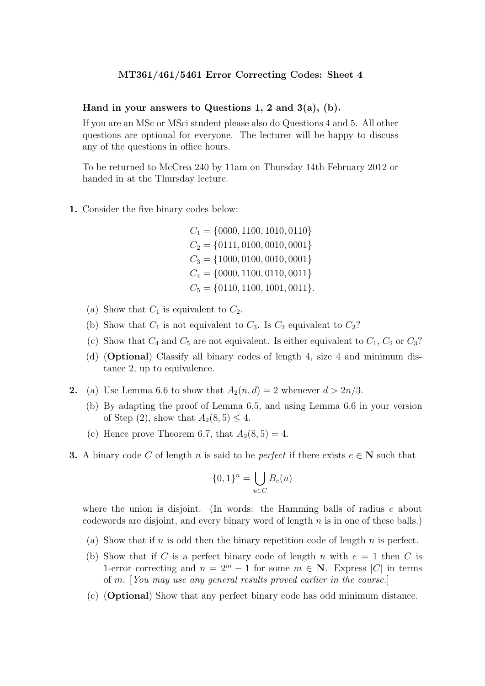#### Hand in your answers to Questions 1, 2 and  $3(a)$ , (b).

If you are an MSc or MSci student please also do Questions 4 and 5. All other questions are optional for everyone. The lecturer will be happy to discuss any of the questions in office hours.

To be returned to McCrea 240 by 11am on Thursday 14th February 2012 or handed in at the Thursday lecture.

1. Consider the five binary codes below:

 $C_1 = \{0000, 1100, 1010, 0110\}$  $C_2 = \{0111, 0100, 0010, 0001\}$  $C_3 = \{1000, 0100, 0010, 0001\}$  $C_4 = \{0000, 1100, 0110, 0011\}$  $C_5 = \{0110, 1100, 1001, 0011\}.$ 

- (a) Show that  $C_1$  is equivalent to  $C_2$ .
- (b) Show that  $C_1$  is not equivalent to  $C_3$ . Is  $C_2$  equivalent to  $C_3$ ?
- (c) Show that  $C_4$  and  $C_5$  are not equivalent. Is either equivalent to  $C_1$ ,  $C_2$  or  $C_3$ ?
- (d) (Optional) Classify all binary codes of length 4, size 4 and minimum distance 2, up to equivalence.
- 2. (a) Use Lemma 6.6 to show that  $A_2(n, d) = 2$  whenever  $d > 2n/3$ .
	- (b) By adapting the proof of Lemma 6.5, and using Lemma 6.6 in your version of Step (2), show that  $A_2(8, 5) < 4$ .
	- (c) Hence prove Theorem 6.7, that  $A_2(8,5) = 4$ .
- **3.** A binary code C of length n is said to be *perfect* if there exists  $e \in \mathbb{N}$  such that

$$
\{0,1\}^n = \bigcup_{u \in C} B_e(u)
$$

where the union is disjoint. (In words: the Hamming balls of radius  $e$  about codewords are disjoint, and every binary word of length  $n$  is in one of these balls.)

- (a) Show that if n is odd then the binary repetition code of length n is perfect.
- (b) Show that if C is a perfect binary code of length n with  $e = 1$  then C is 1-error correcting and  $n = 2^m - 1$  for some  $m \in \mathbb{N}$ . Express |C| in terms of m. [You may use any general results proved earlier in the course.]
- (c) (Optional) Show that any perfect binary code has odd minimum distance.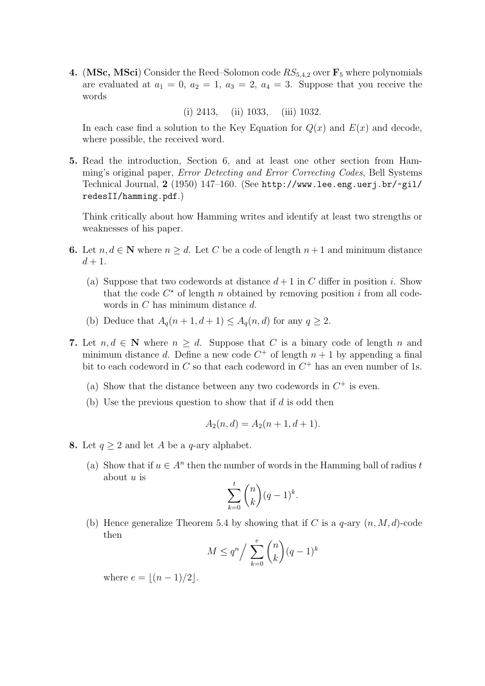4. (MSc, MSci) Consider the Reed–Solomon code  $RS_{5,4,2}$  over  $\mathbf{F}_5$  where polynomials are evaluated at  $a_1 = 0$ ,  $a_2 = 1$ ,  $a_3 = 2$ ,  $a_4 = 3$ . Suppose that you receive the words

(i) 2413, (ii) 1033, (iii) 1032.

In each case find a solution to the Key Equation for  $Q(x)$  and  $E(x)$  and decode, where possible, the received word.

5. Read the introduction, Section 6, and at least one other section from Hamming's original paper, Error Detecting and Error Correcting Codes, Bell Systems Technical Journal, 2 (1950) 147–160. (See http://www.lee.eng.uerj.br/~gil/ redesII/hamming.pdf.)

Think critically about how Hamming writes and identify at least two strengths or weaknesses of his paper.

- 6. Let  $n, d \in \mathbb{N}$  where  $n \geq d$ . Let C be a code of length  $n+1$  and minimum distance  $d+1$ .
	- (a) Suppose that two codewords at distance  $d+1$  in C differ in position i. Show that the code  $C^*$  of length n obtained by removing position i from all codewords in C has minimum distance d.
	- (b) Deduce that  $A_q(n+1, d+1) \leq A_q(n, d)$  for any  $q \geq 2$ .
- 7. Let  $n, d \in \mathbb{N}$  where  $n \geq d$ . Suppose that C is a binary code of length n and minimum distance d. Define a new code  $C^+$  of length  $n+1$  by appending a final bit to each codeword in  $C$  so that each codeword in  $C^+$  has an even number of 1s.
	- (a) Show that the distance between any two codewords in  $C^+$  is even.
	- (b) Use the previous question to show that if  $d$  is odd then

$$
A_2(n,d) = A_2(n+1,d+1).
$$

- 8. Let  $q > 2$  and let A be a q-ary alphabet.
	- (a) Show that if  $u \in A^n$  then the number of words in the Hamming ball of radius t about  $u$  is

$$
\sum_{k=0}^{t} \binom{n}{k} (q-1)^k.
$$

(b) Hence generalize Theorem 5.4 by showing that if C is a  $q$ -ary  $(n, M, d)$ -code then

$$
M \le q^n / \sum_{k=0}^e \binom{n}{k} (q-1)^k
$$

where  $e = |(n - 1)/2|$ .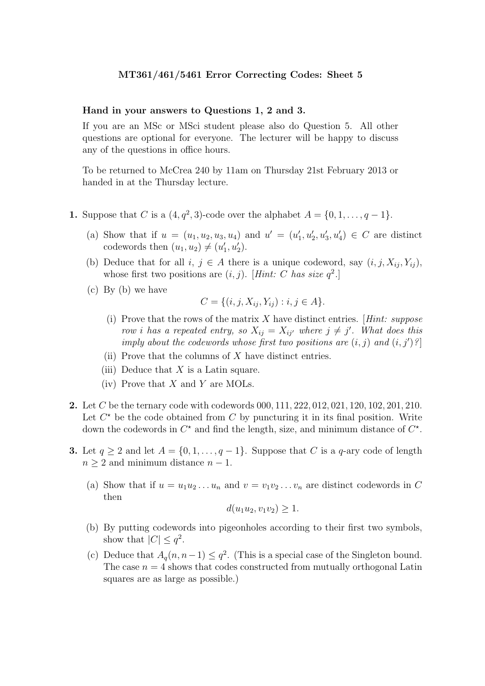#### Hand in your answers to Questions 1, 2 and 3.

If you are an MSc or MSci student please also do Question 5. All other questions are optional for everyone. The lecturer will be happy to discuss any of the questions in office hours.

To be returned to McCrea 240 by 11am on Thursday 21st February 2013 or handed in at the Thursday lecture.

- **1.** Suppose that C is a  $(4, q^2, 3)$ -code over the alphabet  $A = \{0, 1, \ldots, q-1\}$ .
	- (a) Show that if  $u = (u_1, u_2, u_3, u_4)$  and  $u' = (u'_1, u'_2, u'_3, u'_4) \in C$  are distinct codewords then  $(u_1, u_2) \neq (u'_1, u'_2)$ .
	- (b) Deduce that for all  $i, j \in A$  there is a unique codeword, say  $(i, j, X_{ij}, Y_{ij}),$ whose first two positions are  $(i, j)$ . [Hint: C has size  $q^2$ .]
	- (c) By (b) we have

$$
C = \{ (i, j, X_{ij}, Y_{ij}) : i, j \in A \}.
$$

- (i) Prove that the rows of the matrix  $X$  have distinct entries. [Hint: suppose row i has a repeated entry, so  $X_{ij} = X_{ij'}$  where  $j \neq j'$ . What does this imply about the codewords whose first two positions are  $(i, j)$  and  $(i, j')$ ?
- (ii) Prove that the columns of  $X$  have distinct entries.
- (iii) Deduce that  $X$  is a Latin square.
- (iv) Prove that  $X$  and  $Y$  are MOLs.
- 2. Let C be the ternary code with codewords 000, 111, 222, 012, 021, 120, 102, 201, 210. Let  $C^*$  be the code obtained from  $C$  by puncturing it in its final position. Write down the codewords in  $C^*$  and find the length, size, and minimum distance of  $C^*$ .
- **3.** Let  $q \ge 2$  and let  $A = \{0, 1, \ldots, q-1\}$ . Suppose that C is a q-ary code of length  $n \geq 2$  and minimum distance  $n-1$ .
	- (a) Show that if  $u = u_1u_2...u_n$  and  $v = v_1v_2...v_n$  are distinct codewords in C then

$$
d(u_1u_2, v_1v_2) \geq 1.
$$

- (b) By putting codewords into pigeonholes according to their first two symbols, show that  $|C| \leq q^2$ .
- (c) Deduce that  $A_q(n, n-1) \leq q^2$ . (This is a special case of the Singleton bound. The case  $n = 4$  shows that codes constructed from mutually orthogonal Latin squares are as large as possible.)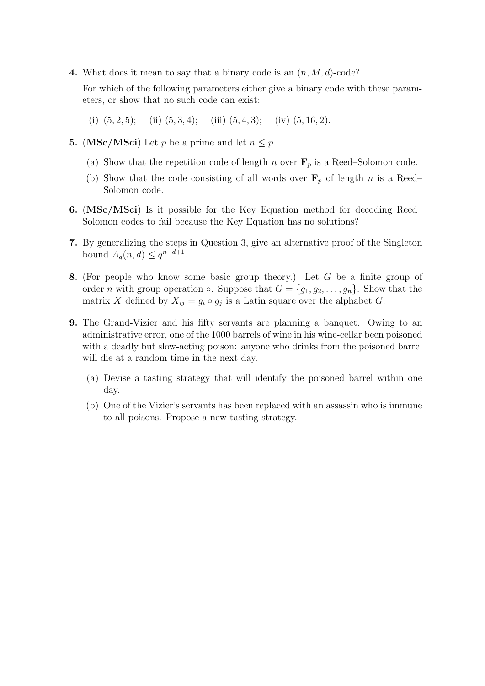4. What does it mean to say that a binary code is an  $(n, M, d)$ -code?

For which of the following parameters either give a binary code with these parameters, or show that no such code can exist:

- (i)  $(5, 2, 5)$ ; (ii)  $(5, 3, 4)$ ; (iii)  $(5, 4, 3)$ ; (iv)  $(5, 16, 2)$ .
- 5. (MSc/MSci) Let p be a prime and let  $n \leq p$ .
	- (a) Show that the repetition code of length n over  $\mathbf{F}_p$  is a Reed–Solomon code.
	- (b) Show that the code consisting of all words over  $\mathbf{F}_p$  of length n is a Reed– Solomon code.
- 6. (MSc/MSci) Is it possible for the Key Equation method for decoding Reed– Solomon codes to fail because the Key Equation has no solutions?
- 7. By generalizing the steps in Question 3, give an alternative proof of the Singleton bound  $A_q(n,d) \leq q^{n-d+1}$ .
- 8. (For people who know some basic group theory.) Let G be a finite group of order *n* with group operation  $\circ$ . Suppose that  $G = \{g_1, g_2, \ldots, g_n\}$ . Show that the matrix X defined by  $X_{ij} = g_i \circ g_j$  is a Latin square over the alphabet G.
- 9. The Grand-Vizier and his fifty servants are planning a banquet. Owing to an administrative error, one of the 1000 barrels of wine in his wine-cellar been poisoned with a deadly but slow-acting poison: anyone who drinks from the poisoned barrel will die at a random time in the next day.
	- (a) Devise a tasting strategy that will identify the poisoned barrel within one day.
	- (b) One of the Vizier's servants has been replaced with an assassin who is immune to all poisons. Propose a new tasting strategy.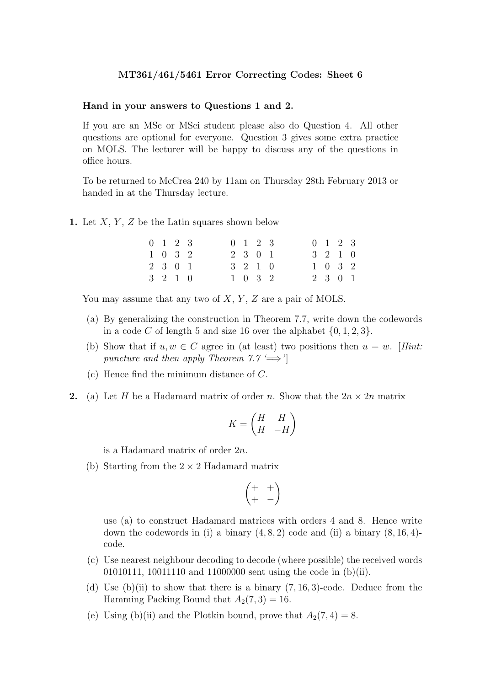#### Hand in your answers to Questions 1 and 2.

If you are an MSc or MSci student please also do Question 4. All other questions are optional for everyone. Question 3 gives some extra practice on MOLS. The lecturer will be happy to discuss any of the questions in office hours.

To be returned to McCrea 240 by 11am on Thursday 28th February 2013 or handed in at the Thursday lecture.

1. Let  $X, Y, Z$  be the Latin squares shown below

| $0 \t1 \t2 \t3$             |  |  | $0 \t1 \t2 \t3$          |  |  | $0 \t1 \t2 \t3$ |  |
|-----------------------------|--|--|--------------------------|--|--|-----------------|--|
| $1 \quad 0 \quad 3 \quad 2$ |  |  | 2 3 0 1                  |  |  | 3 2 1 0         |  |
| 2 3 0 1                     |  |  | $3\quad 2\quad 1\quad 0$ |  |  | $1 \t0 \t3 \t2$ |  |
| 3 2 1 0                     |  |  | 1 0 3 2                  |  |  | 2 3 0 1         |  |

You may assume that any two of  $X, Y, Z$  are a pair of MOLS.

- (a) By generalizing the construction in Theorem 7.7, write down the codewords in a code C of length 5 and size 16 over the alphabet  $\{0, 1, 2, 3\}.$
- (b) Show that if  $u, w \in C$  agree in (at least) two positions then  $u = w$ . [Hint: puncture and then apply Theorem 7.7 ' $\Longrightarrow$ '
- (c) Hence find the minimum distance of C.
- 2. (a) Let H be a Hadamard matrix of order n. Show that the  $2n \times 2n$  matrix

$$
K = \begin{pmatrix} H & H \\ H & -H \end{pmatrix}
$$

is a Hadamard matrix of order 2n.

(b) Starting from the  $2 \times 2$  Hadamard matrix

$$
\begin{pmatrix} + & + \\ + & - \end{pmatrix}
$$

use (a) to construct Hadamard matrices with orders 4 and 8. Hence write down the codewords in (i) a binary  $(4, 8, 2)$  code and (ii) a binary  $(8, 16, 4)$ code.

- (c) Use nearest neighbour decoding to decode (where possible) the received words 01010111, 10011110 and 11000000 sent using the code in (b)(ii).
- (d) Use  $(b)(ii)$  to show that there is a binary  $(7, 16, 3)$ -code. Deduce from the Hamming Packing Bound that  $A_2(7,3) = 16$ .
- (e) Using (b)(ii) and the Plotkin bound, prove that  $A_2(7, 4) = 8$ .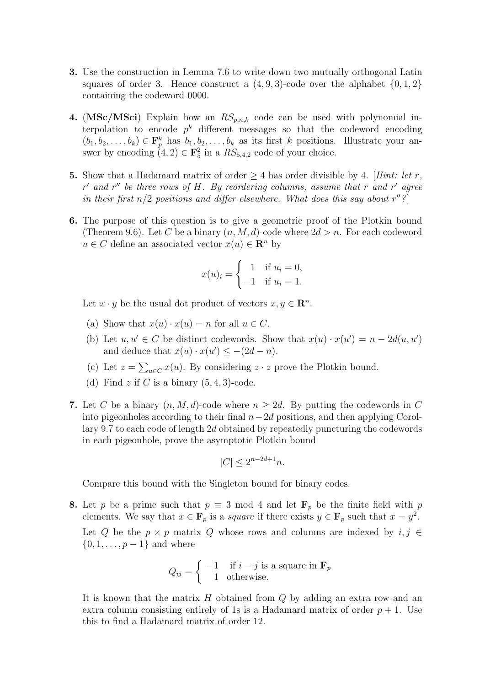- 3. Use the construction in Lemma 7.6 to write down two mutually orthogonal Latin squares of order 3. Hence construct a  $(4, 9, 3)$ -code over the alphabet  $\{0, 1, 2\}$ containing the codeword 0000.
- 4. (MSc/MSci) Explain how an  $RS_{p,n,k}$  code can be used with polynomial interpolation to encode  $p^k$  different messages so that the codeword encoding  $(b_1, b_2, \ldots, b_k) \in \mathbf{F}_p^k$  has  $b_1, b_2, \ldots, b_k$  as its first k positions. Illustrate your answer by encoding  $(4, 2) \in \mathbf{F}_5^2$  in a  $RS_{5,4,2}$  code of your choice.
- 5. Show that a Hadamard matrix of order  $\geq 4$  has order divisible by 4. [Hint: let r,  $r'$  and  $r''$  be three rows of H. By reordering columns, assume that r and r' agree in their first  $n/2$  positions and differ elsewhere. What does this say about  $r''$ ?
- 6. The purpose of this question is to give a geometric proof of the Plotkin bound (Theorem 9.6). Let C be a binary  $(n, M, d)$ -code where  $2d > n$ . For each codeword  $u \in C$  define an associated vector  $x(u) \in \mathbb{R}^n$  by

$$
x(u)_i = \begin{cases} 1 & \text{if } u_i = 0, \\ -1 & \text{if } u_i = 1. \end{cases}
$$

Let  $x \cdot y$  be the usual dot product of vectors  $x, y \in \mathbb{R}^n$ .

- (a) Show that  $x(u) \cdot x(u) = n$  for all  $u \in C$ .
- (b) Let  $u, u' \in C$  be distinct codewords. Show that  $x(u) \cdot x(u') = n 2d(u, u')$ and deduce that  $x(u) \cdot x(u') \leq -(2d - n)$ .
- (c) Let  $z = \sum_{u \in C} x(u)$ . By considering  $z \cdot z$  prove the Plotkin bound.
- (d) Find z if C is a binary  $(5, 4, 3)$ -code.
- 7. Let C be a binary  $(n, M, d)$ -code where  $n > 2d$ . By putting the codewords in C into pigeonholes according to their final  $n-2d$  positions, and then applying Corollary 9.7 to each code of length 2d obtained by repeatedly puncturing the codewords in each pigeonhole, prove the asymptotic Plotkin bound

$$
|C| \le 2^{n-2d+1}n.
$$

Compare this bound with the Singleton bound for binary codes.

8. Let p be a prime such that  $p \equiv 3 \mod 4$  and let  $\mathbf{F}_p$  be the finite field with p elements. We say that  $x \in \mathbf{F}_p$  is a *square* if there exists  $y \in \mathbf{F}_p$  such that  $x = y^2$ . Let Q be the  $p \times p$  matrix Q whose rows and columns are indexed by  $i, j \in$  ${0, 1, \ldots, p-1}$  and where

$$
Q_{ij} = \begin{cases} -1 & \text{if } i - j \text{ is a square in } \mathbf{F}_p \\ 1 & \text{otherwise.} \end{cases}
$$

It is known that the matrix  $H$  obtained from  $Q$  by adding an extra row and an extra column consisting entirely of 1s is a Hadamard matrix of order  $p + 1$ . Use this to find a Hadamard matrix of order 12.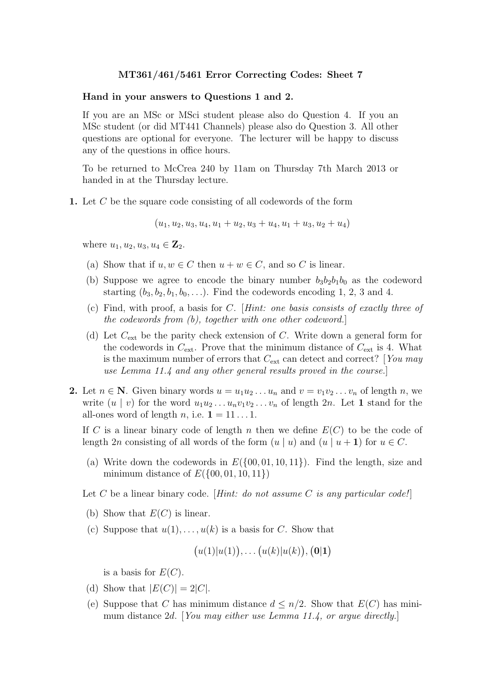#### Hand in your answers to Questions 1 and 2.

If you are an MSc or MSci student please also do Question 4. If you an MSc student (or did MT441 Channels) please also do Question 3. All other questions are optional for everyone. The lecturer will be happy to discuss any of the questions in office hours.

To be returned to McCrea 240 by 11am on Thursday 7th March 2013 or handed in at the Thursday lecture.

1. Let C be the square code consisting of all codewords of the form

$$
(u_1, u_2, u_3, u_4, u_1 + u_2, u_3 + u_4, u_1 + u_3, u_2 + u_4)
$$

where  $u_1, u_2, u_3, u_4 \in \mathbf{Z}_2$ .

- (a) Show that if  $u, w \in C$  then  $u + w \in C$ , and so C is linear.
- (b) Suppose we agree to encode the binary number  $b_3b_2b_1b_0$  as the codeword starting  $(b_3, b_2, b_1, b_0, \ldots)$ . Find the codewords encoding 1, 2, 3 and 4.
- (c) Find, with proof, a basis for C. [Hint: one basis consists of exactly three of the codewords from (b), together with one other codeword.]
- (d) Let  $C_{\text{ext}}$  be the parity check extension of C. Write down a general form for the codewords in  $C_{\text{ext}}$ . Prove that the minimum distance of  $C_{\text{ext}}$  is 4. What is the maximum number of errors that  $C_{\text{ext}}$  can detect and correct? [You may use Lemma 11.4 and any other general results proved in the course.]
- 2. Let  $n \in \mathbb{N}$ . Given binary words  $u = u_1 u_2 \ldots u_n$  and  $v = v_1 v_2 \ldots v_n$  of length n, we write  $(u \mid v)$  for the word  $u_1u_2 \ldots u_nv_1v_2 \ldots v_n$  of length 2n. Let 1 stand for the all-ones word of length n, i.e.  $\mathbf{1} = 11 \dots 1$ .

If C is a linear binary code of length n then we define  $E(C)$  to be the code of length 2n consisting of all words of the form  $(u | u)$  and  $(u | u + 1)$  for  $u \in C$ .

(a) Write down the codewords in  $E(\{00, 01, 10, 11\})$ . Find the length, size and minimum distance of  $E({00, 01, 10, 11})$ 

Let C be a linear binary code. [Hint: do not assume C is any particular code!]

- (b) Show that  $E(C)$  is linear.
- (c) Suppose that  $u(1), \ldots, u(k)$  is a basis for C. Show that

$$
(u(1)|u(1)),\ldots (u(k)|u(k)),(\mathbf{0}|\mathbf{1})
$$

is a basis for  $E(C)$ .

- (d) Show that  $|E(C)| = 2|C|$ .
- (e) Suppose that C has minimum distance  $d \leq n/2$ . Show that  $E(C)$  has minimum distance 2d. [You may either use Lemma 11.4, or argue directly.]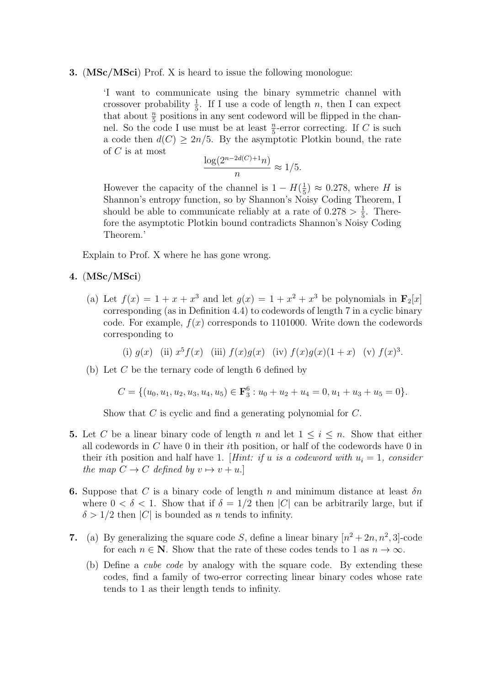### 3. (MSc/MSci) Prof. X is heard to issue the following monologue:

'I want to communicate using the binary symmetric channel with crossover probability  $\frac{1}{5}$ . If I use a code of length n, then I can expect that about  $\frac{n}{5}$  positions in any sent codeword will be flipped in the channel. So the code I use must be at least  $\frac{n}{5}$ -error correcting. If C is such a code then  $d(C) \geq 2n/5$ . By the asymptotic Plotkin bound, the rate of C is at most

$$
\frac{\log(2^{n-2d(C)+1}n)}{n} \approx 1/5.
$$

However the capacity of the channel is  $1 - H(\frac{1}{5})$  $(\frac{1}{5}) \approx 0.278$ , where H is Shannon's entropy function, so by Shannon's Noisy Coding Theorem, I should be able to communicate reliably at a rate of  $0.278 > \frac{1}{5}$  $\frac{1}{5}$ . Therefore the asymptotic Plotkin bound contradicts Shannon's Noisy Coding Theorem.'

Explain to Prof. X where he has gone wrong.

- 4. (MSc/MSci)
	- (a) Let  $f(x) = 1 + x + x^3$  and let  $g(x) = 1 + x^2 + x^3$  be polynomials in  $\mathbf{F}_2[x]$ corresponding (as in Definition 4.4) to codewords of length 7 in a cyclic binary code. For example,  $f(x)$  corresponds to 1101000. Write down the codewords corresponding to

(i)  $g(x)$  (ii)  $x^5 f(x)$  (iii)  $f(x)g(x)$  (iv)  $f(x)g(x)(1+x)$  (v)  $f(x)^3$ .

(b) Let C be the ternary code of length 6 defined by

 $C = \{(u_0, u_1, u_2, u_3, u_4, u_5) \in \mathbf{F}_3^6 : u_0 + u_2 + u_4 = 0, u_1 + u_3 + u_5 = 0\}.$ 

Show that C is cyclic and find a generating polynomial for C.

- 5. Let C be a linear binary code of length n and let  $1 \leq i \leq n$ . Show that either all codewords in  $C$  have  $0$  in their *i*th position, or half of the codewords have  $0$  in their ith position and half have 1. [Hint: if u is a codeword with  $u_i = 1$ , consider the map  $C \to C$  defined by  $v \mapsto v + u$ .
- 6. Suppose that C is a binary code of length n and minimum distance at least  $\delta n$ where  $0 < \delta < 1$ . Show that if  $\delta = 1/2$  then |C| can be arbitrarily large, but if  $\delta > 1/2$  then |C| is bounded as n tends to infinity.
- 7. (a) By generalizing the square code S, define a linear binary  $[n^2 + 2n, n^2, 3]$ -code for each  $n \in \mathbb{N}$ . Show that the rate of these codes tends to 1 as  $n \to \infty$ .
	- (b) Define a cube code by analogy with the square code. By extending these codes, find a family of two-error correcting linear binary codes whose rate tends to 1 as their length tends to infinity.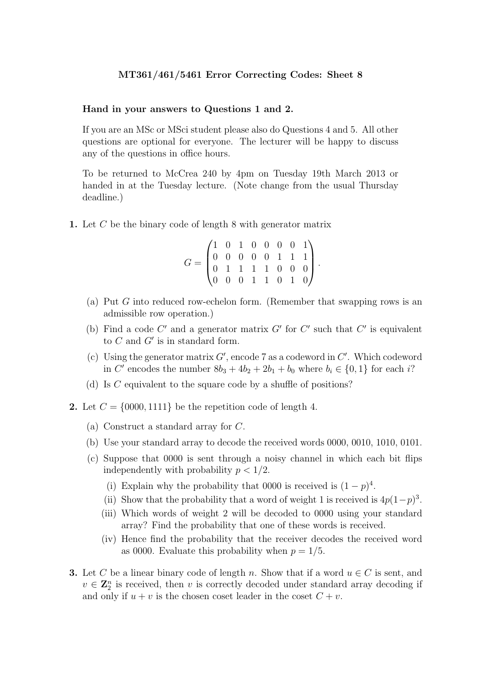#### Hand in your answers to Questions 1 and 2.

If you are an MSc or MSci student please also do Questions 4 and 5. All other questions are optional for everyone. The lecturer will be happy to discuss any of the questions in office hours.

To be returned to McCrea 240 by 4pm on Tuesday 19th March 2013 or handed in at the Tuesday lecture. (Note change from the usual Thursday deadline.)

1. Let  $C$  be the binary code of length 8 with generator matrix

$$
G = \begin{pmatrix} 1 & 0 & 1 & 0 & 0 & 0 & 0 & 1 \\ 0 & 0 & 0 & 0 & 0 & 1 & 1 & 1 \\ 0 & 1 & 1 & 1 & 1 & 0 & 0 & 0 \\ 0 & 0 & 0 & 1 & 1 & 0 & 1 & 0 \end{pmatrix}.
$$

- (a) Put G into reduced row-echelon form. (Remember that swapping rows is an admissible row operation.)
- (b) Find a code  $C'$  and a generator matrix  $G'$  for  $C'$  such that  $C'$  is equivalent to C and  $G'$  is in standard form.
- (c) Using the generator matrix  $G'$ , encode 7 as a codeword in  $C'$ . Which codeword in C' encodes the number  $8b_3 + 4b_2 + 2b_1 + b_0$  where  $b_i \in \{0, 1\}$  for each i?
- (d) Is C equivalent to the square code by a shuffle of positions?
- 2. Let  $C = \{0000, 1111\}$  be the repetition code of length 4.
	- (a) Construct a standard array for C.
	- (b) Use your standard array to decode the received words 0000, 0010, 1010, 0101.
	- (c) Suppose that 0000 is sent through a noisy channel in which each bit flips independently with probability  $p < 1/2$ .
		- (i) Explain why the probability that 0000 is received is  $(1-p)^4$ .
		- (ii) Show that the probability that a word of weight 1 is received is  $4p(1-p)^3$ .
		- (iii) Which words of weight 2 will be decoded to 0000 using your standard array? Find the probability that one of these words is received.
		- (iv) Hence find the probability that the receiver decodes the received word as 0000. Evaluate this probability when  $p = 1/5$ .
- **3.** Let C be a linear binary code of length n. Show that if a word  $u \in C$  is sent, and  $v \in \mathbb{Z}_2^n$  is received, then v is correctly decoded under standard array decoding if and only if  $u + v$  is the chosen coset leader in the coset  $C + v$ .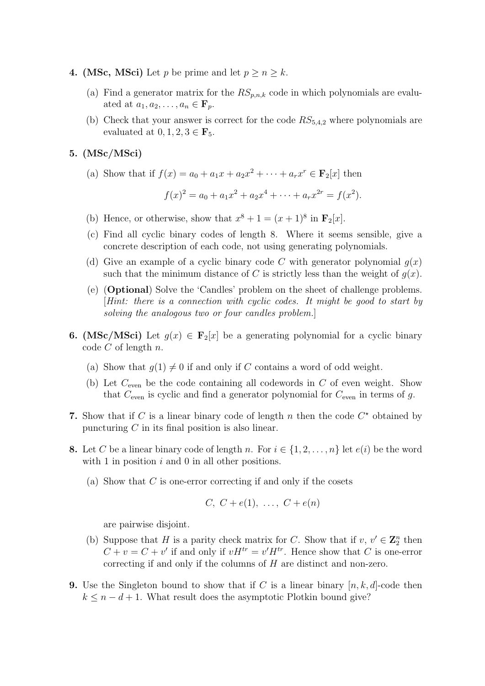- 4. (MSc, MSci) Let p be prime and let  $p \ge n \ge k$ .
	- (a) Find a generator matrix for the  $RS_{p,n,k}$  code in which polynomials are evaluated at  $a_1, a_2, \ldots, a_n \in \mathbf{F}_p$ .
	- (b) Check that your answer is correct for the code  $RS_{5,4,2}$  where polynomials are evaluated at  $0, 1, 2, 3 \in \mathbf{F}_5$ .
- 5. (MSc/MSci)
	- (a) Show that if  $f(x) = a_0 + a_1x + a_2x^2 + \cdots + a_rx^r \in \mathbf{F}_2[x]$  then

$$
f(x)^{2} = a_{0} + a_{1}x^{2} + a_{2}x^{4} + \cdots + a_{r}x^{2r} = f(x^{2}).
$$

- (b) Hence, or otherwise, show that  $x^8 + 1 = (x+1)^8$  in  $\mathbf{F}_2[x]$ .
- (c) Find all cyclic binary codes of length 8. Where it seems sensible, give a concrete description of each code, not using generating polynomials.
- (d) Give an example of a cyclic binary code C with generator polynomial  $g(x)$ such that the minimum distance of C is strictly less than the weight of  $q(x)$ .
- (e) (Optional) Solve the 'Candles' problem on the sheet of challenge problems. [Hint: there is a connection with cyclic codes. It might be good to start by solving the analogous two or four candles problem.]
- **6.** (MSc/MSci) Let  $q(x) \in \mathbf{F}_2[x]$  be a generating polynomial for a cyclic binary code  $C$  of length  $n$ .
	- (a) Show that  $g(1) \neq 0$  if and only if C contains a word of odd weight.
	- (b) Let  $C_{\text{even}}$  be the code containing all codewords in C of even weight. Show that  $C_{\text{even}}$  is cyclic and find a generator polynomial for  $C_{\text{even}}$  in terms of g.
- 7. Show that if C is a linear binary code of length n then the code  $C^*$  obtained by puncturing  $C$  in its final position is also linear.
- 8. Let C be a linear binary code of length n. For  $i \in \{1, 2, ..., n\}$  let  $e(i)$  be the word with 1 in position  $i$  and 0 in all other positions.
	- (a) Show that  $C$  is one-error correcting if and only if the cosets

$$
C, C+e(1), \ldots, C+e(n)
$$

are pairwise disjoint.

- (b) Suppose that H is a parity check matrix for C. Show that if  $v, v' \in \mathbb{Z}_2^n$  then  $C + v = C + v'$  if and only if  $vH^{tr} = v'H^{tr}$ . Hence show that C is one-error correcting if and only if the columns of  $H$  are distinct and non-zero.
- **9.** Use the Singleton bound to show that if C is a linear binary  $[n, k, d]$ -code then  $k \leq n - d + 1$ . What result does the asymptotic Plotkin bound give?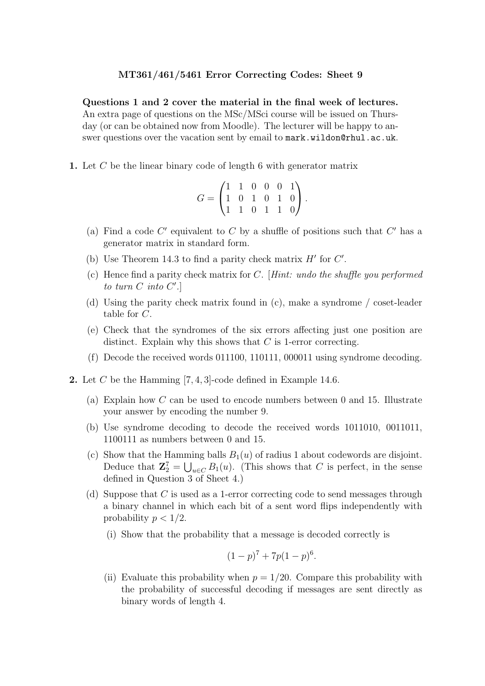Questions 1 and 2 cover the material in the final week of lectures. An extra page of questions on the MSc/MSci course will be issued on Thursday (or can be obtained now from Moodle). The lecturer will be happy to answer questions over the vacation sent by email to mark.wildon@rhul.ac.uk.

1. Let  $C$  be the linear binary code of length 6 with generator matrix

$$
G = \begin{pmatrix} 1 & 1 & 0 & 0 & 0 & 1 \\ 1 & 0 & 1 & 0 & 1 & 0 \\ 1 & 1 & 0 & 1 & 1 & 0 \end{pmatrix}.
$$

- (a) Find a code  $C'$  equivalent to C by a shuffle of positions such that  $C'$  has a generator matrix in standard form.
- (b) Use Theorem 14.3 to find a parity check matrix  $H'$  for  $C'$ .
- (c) Hence find a parity check matrix for  $C$ . [Hint: undo the shuffle you performed to turn  $C$  into  $C'$ .
- (d) Using the parity check matrix found in (c), make a syndrome / coset-leader table for C.
- (e) Check that the syndromes of the six errors affecting just one position are distinct. Explain why this shows that C is 1-error correcting.
- (f) Decode the received words 011100, 110111, 000011 using syndrome decoding.
- 2. Let  $C$  be the Hamming [7, 4, 3]-code defined in Example 14.6.
	- (a) Explain how C can be used to encode numbers between 0 and 15. Illustrate your answer by encoding the number 9.
	- (b) Use syndrome decoding to decode the received words 1011010, 0011011, 1100111 as numbers between 0 and 15.
	- (c) Show that the Hamming balls  $B_1(u)$  of radius 1 about codewords are disjoint. Deduce that  $\mathbf{Z}_2^7 = \bigcup_{u \in C} B_1(u)$ . (This shows that C is perfect, in the sense defined in Question 3 of Sheet 4.)
	- (d) Suppose that C is used as a 1-error correcting code to send messages through a binary channel in which each bit of a sent word flips independently with probability  $p < 1/2$ .
		- (i) Show that the probability that a message is decoded correctly is

$$
(1-p)^7 + 7p(1-p)^6.
$$

(ii) Evaluate this probability when  $p = 1/20$ . Compare this probability with the probability of successful decoding if messages are sent directly as binary words of length 4.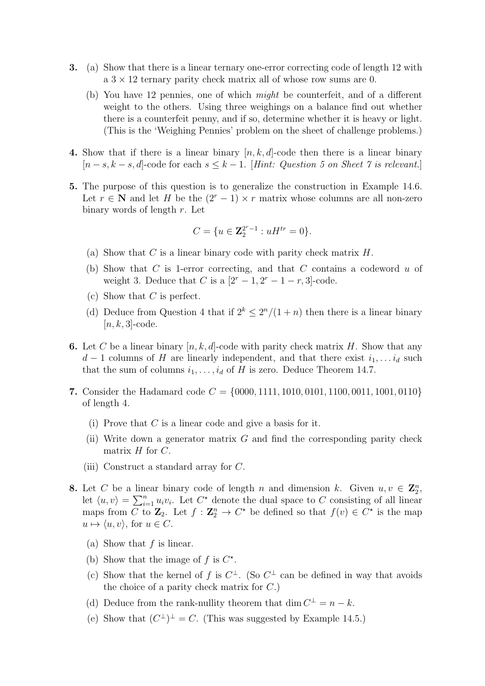- 3. (a) Show that there is a linear ternary one-error correcting code of length 12 with a  $3 \times 12$  ternary parity check matrix all of whose row sums are 0.
	- (b) You have 12 pennies, one of which might be counterfeit, and of a different weight to the others. Using three weighings on a balance find out whether there is a counterfeit penny, and if so, determine whether it is heavy or light. (This is the 'Weighing Pennies' problem on the sheet of challenge problems.)
- 4. Show that if there is a linear binary  $[n, k, d]$ -code then there is a linear binary  $[n-s, k-s, d]$ -code for each  $s \leq k-1$ . [Hint: Question 5 on Sheet 7 is relevant.]
- 5. The purpose of this question is to generalize the construction in Example 14.6. Let  $r \in \mathbb{N}$  and let H be the  $(2r-1) \times r$  matrix whose columns are all non-zero binary words of length  $r$ . Let

$$
C = \{ u \in \mathbf{Z}_2^{2^r - 1} : uH^{tr} = 0 \}.
$$

- (a) Show that C is a linear binary code with parity check matrix  $H$ .
- (b) Show that C is 1-error correcting, and that C contains a codeword u of weight 3. Deduce that C is a  $[2^r - 1, 2^r - 1 - r, 3]$ -code.
- (c) Show that  $C$  is perfect.
- (d) Deduce from Question 4 that if  $2^k \leq 2^n/(1+n)$  then there is a linear binary  $[n, k, 3]$ -code.
- **6.** Let C be a linear binary  $[n, k, d]$ -code with parity check matrix H. Show that any  $d-1$  columns of H are linearly independent, and that there exist  $i_1, \ldots, i_d$  such that the sum of columns  $i_1, \ldots, i_d$  of H is zero. Deduce Theorem 14.7.
- 7. Consider the Hadamard code  $C = \{0000, 1111, 1010, 0101, 1100, 0011, 1001, 0110\}$ of length 4.
	- (i) Prove that  $C$  is a linear code and give a basis for it.
	- (ii) Write down a generator matrix  $G$  and find the corresponding parity check matrix  $H$  for  $C$ .
	- (iii) Construct a standard array for C.
- 8. Let C be a linear binary code of length n and dimension k. Given  $u, v \in \mathbb{Z}_2^n$ , let  $\langle u, v \rangle = \sum_{i=1}^n u_i v_i$ . Let  $C^*$  denote the dual space to C consisting of all linear maps from C to  $\mathbb{Z}_2$ . Let  $f : \mathbb{Z}_2^n \to C^*$  be defined so that  $f(v) \in C^*$  is the map  $u \mapsto \langle u, v \rangle$ , for  $u \in C$ .
	- (a) Show that  $f$  is linear.
	- (b) Show that the image of f is  $C^*$ .
	- (c) Show that the kernel of f is  $C^{\perp}$ . (So  $C^{\perp}$  can be defined in way that avoids the choice of a parity check matrix for  $C$ .)
	- (d) Deduce from the rank-nullity theorem that dim  $C^{\perp} = n k$ .
	- (e) Show that  $(C^{\perp})^{\perp} = C$ . (This was suggested by Example 14.5.)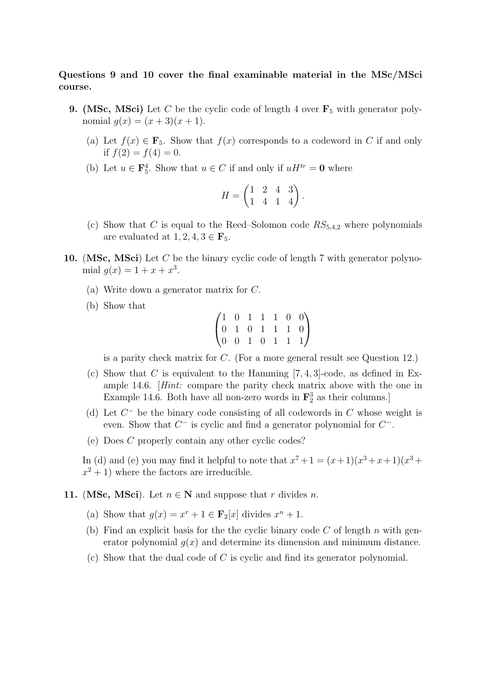# Questions 9 and 10 cover the final examinable material in the MSc/MSci course.

- **9.** (MSc, MSci) Let C be the cyclic code of length 4 over  $\mathbf{F}_5$  with generator polynomial  $q(x) = (x+3)(x+1)$ .
	- (a) Let  $f(x) \in \mathbf{F}_5$ . Show that  $f(x)$  corresponds to a codeword in C if and only if  $f(2) = f(4) = 0$ .
	- (b) Let  $u \in \mathbf{F}_5^4$ . Show that  $u \in C$  if and only if  $uH^{tr} = \mathbf{0}$  where

$$
H = \begin{pmatrix} 1 & 2 & 4 & 3 \\ 1 & 4 & 1 & 4 \end{pmatrix}.
$$

- (c) Show that C is equal to the Reed–Solomon code  $RS_{5,4,2}$  where polynomials are evaluated at  $1, 2, 4, 3 \in \mathbf{F}_5$ .
- 10. (MSc, MSci) Let C be the binary cyclic code of length 7 with generator polynomial  $g(x) = 1 + x + x^3$ .
	- (a) Write down a generator matrix for C.
	- (b) Show that

$$
\begin{pmatrix} 1 & 0 & 1 & 1 & 1 & 0 & 0 \\ 0 & 1 & 0 & 1 & 1 & 1 & 0 \\ 0 & 0 & 1 & 0 & 1 & 1 & 1 \end{pmatrix}
$$

is a parity check matrix for C. (For a more general result see Question 12.)

- (c) Show that C is equivalent to the Hamming  $[7, 4, 3]$ -code, as defined in Example 14.6. [Hint: compare the parity check matrix above with the one in Example 14.6. Both have all non-zero words in  $\mathbf{F}_2^3$  as their columns.]
- (d) Let  $C^-$  be the binary code consisting of all codewords in  $C$  whose weight is even. Show that  $C^-$  is cyclic and find a generator polynomial for  $C^-$ .
- (e) Does C properly contain any other cyclic codes?

In (d) and (e) you may find it helpful to note that  $x^7 + 1 = (x+1)(x^3 + x + 1)(x^3 + x)$  $x^2 + 1$ ) where the factors are irreducible.

# 11. (MSc, MSci). Let  $n \in \mathbb{N}$  and suppose that r divides n.

- (a) Show that  $g(x) = x^r + 1 \in \mathbf{F}_2[x]$  divides  $x^n + 1$ .
- (b) Find an explicit basis for the the cyclic binary code  $C$  of length  $n$  with generator polynomial  $g(x)$  and determine its dimension and minimum distance.
- (c) Show that the dual code of  $C$  is cyclic and find its generator polynomial.